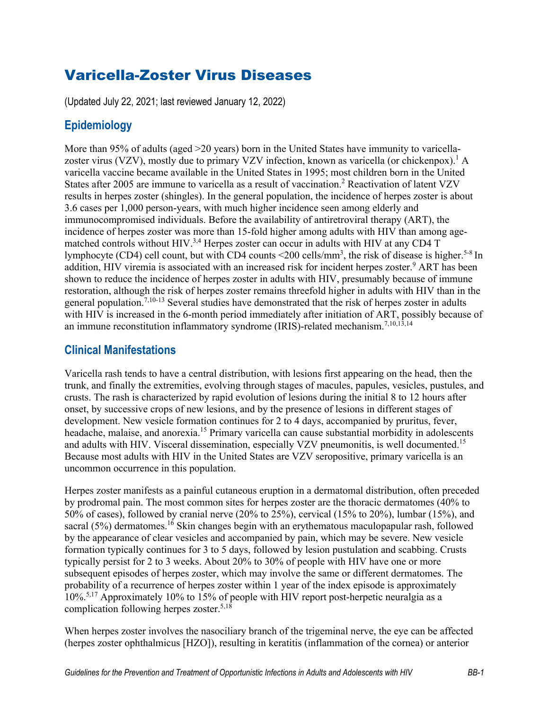# Varicella-Zoster Virus Diseases

(Updated July 22, 2021; last reviewed January 12, 2022)

# **Epidemiology**

More than 95% of adults (aged >20 years) born in the United States have immunity to varicellazoster virus (VZV), mostly due to primary VZV infection, known as varicella (or chickenpox).<sup>1</sup> A varicella vaccine became available in the United States in 1995; most children born in the United States after 2005 are immune to varicella as a result of vaccination.<sup>2</sup> Reactivation of latent VZV results in herpes zoster (shingles). In the general population, the incidence of herpes zoster is about 3.6 cases per 1,000 person-years, with much higher incidence seen among elderly and immunocompromised individuals. Before the availability of antiretroviral therapy (ART), the incidence of herpes zoster was more than 15-fold higher among adults with HIV than among agematched controls without HIV.<sup>3,4</sup> Herpes zoster can occur in adults with HIV at any CD4 T lymphocyte (CD4) cell count, but with CD4 counts <200 cells/mm<sup>3</sup>, the risk of disease is higher.<sup>5-8</sup> In addition, HIV viremia is associated with an increased risk for incident herpes zoster.<sup>9</sup> ART has been shown to reduce the incidence of herpes zoster in adults with HIV, presumably because of immune restoration, although the risk of herpes zoster remains threefold higher in adults with HIV than in the general population.<sup>7,10-13</sup> Several studies have demonstrated that the risk of herpes zoster in adults with HIV is increased in the 6-month period immediately after initiation of ART, possibly because of an immune reconstitution inflammatory syndrome (IRIS)-related mechanism.<sup>7,10,13,14</sup>

### **Clinical Manifestations**

Varicella rash tends to have a central distribution, with lesions first appearing on the head, then the trunk, and finally the extremities, evolving through stages of macules, papules, vesicles, pustules, and crusts. The rash is characterized by rapid evolution of lesions during the initial 8 to 12 hours after onset, by successive crops of new lesions, and by the presence of lesions in different stages of development. New vesicle formation continues for 2 to 4 days, accompanied by pruritus, fever, headache, malaise, and anorexia.<sup>15</sup> Primary varicella can cause substantial morbidity in adolescents and adults with HIV. Visceral dissemination, especially VZV pneumonitis, is well documented.<sup>15</sup> Because most adults with HIV in the United States are VZV seropositive, primary varicella is an uncommon occurrence in this population.

Herpes zoster manifests as a painful cutaneous eruption in a dermatomal distribution, often preceded by prodromal pain. The most common sites for herpes zoster are the thoracic dermatomes (40% to 50% of cases), followed by cranial nerve (20% to 25%), cervical (15% to 20%), lumbar (15%), and sacral (5%) dermatomes.<sup>16</sup> Skin changes begin with an erythematous maculopapular rash, followed by the appearance of clear vesicles and accompanied by pain, which may be severe. New vesicle formation typically continues for 3 to 5 days, followed by lesion pustulation and scabbing. Crusts typically persist for 2 to 3 weeks. About 20% to 30% of people with HIV have one or more subsequent episodes of herpes zoster, which may involve the same or different dermatomes. The probability of a recurrence of herpes zoster within 1 year of the index episode is approximately  $10\%$ <sup>5,17</sup> Approximately 10% to 15% of people with HIV report post-herpetic neuralgia as a complication following herpes zoster. $5,18$ 

When herpes zoster involves the nasociliary branch of the trigeminal nerve, the eye can be affected (herpes zoster ophthalmicus [HZO]), resulting in keratitis (inflammation of the cornea) or anterior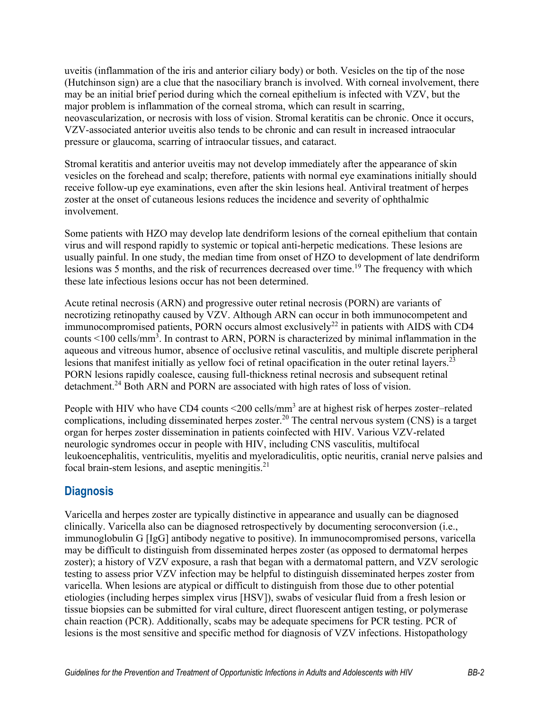uveitis (inflammation of the iris and anterior ciliary body) or both. Vesicles on the tip of the nose (Hutchinson sign) are a clue that the nasociliary branch is involved. With corneal involvement, there may be an initial brief period during which the corneal epithelium is infected with VZV, but the major problem is inflammation of the corneal stroma, which can result in scarring, neovascularization, or necrosis with loss of vision. Stromal keratitis can be chronic. Once it occurs, VZV-associated anterior uveitis also tends to be chronic and can result in increased intraocular pressure or glaucoma, scarring of intraocular tissues, and cataract.

Stromal keratitis and anterior uveitis may not develop immediately after the appearance of skin vesicles on the forehead and scalp; therefore, patients with normal eye examinations initially should receive follow-up eye examinations, even after the skin lesions heal. Antiviral treatment of herpes zoster at the onset of cutaneous lesions reduces the incidence and severity of ophthalmic involvement.

Some patients with HZO may develop late dendriform lesions of the corneal epithelium that contain virus and will respond rapidly to systemic or topical anti-herpetic medications. These lesions are usually painful. In one study, the median time from onset of HZO to development of late dendriform lesions was 5 months, and the risk of recurrences decreased over time.<sup>19</sup> The frequency with which these late infectious lesions occur has not been determined.

Acute retinal necrosis (ARN) and progressive outer retinal necrosis (PORN) are variants of necrotizing retinopathy caused by VZV. Although ARN can occur in both immunocompetent and immunocompromised patients, PORN occurs almost exclusively<sup>22</sup> in patients with AIDS with CD4 counts <100 cells/mm<sup>3</sup>. In contrast to ARN, PORN is characterized by minimal inflammation in the aqueous and vitreous humor, absence of occlusive retinal vasculitis, and multiple discrete peripheral lesions that manifest initially as yellow foci of retinal opacification in the outer retinal layers.<sup>23</sup> PORN lesions rapidly coalesce, causing full-thickness retinal necrosis and subsequent retinal detachment.<sup>24</sup> Both ARN and PORN are associated with high rates of loss of vision.

People with HIV who have CD4 counts <200 cells/mm<sup>3</sup> are at highest risk of herpes zoster–related complications, including disseminated herpes zoster.<sup>20</sup> The central nervous system (CNS) is a target organ for herpes zoster dissemination in patients coinfected with HIV. Various VZV-related neurologic syndromes occur in people with HIV, including CNS vasculitis, multifocal leukoencephalitis, ventriculitis, myelitis and myeloradiculitis, optic neuritis, cranial nerve palsies and focal brain-stem lesions, and aseptic meningitis.<sup>21</sup>

# **Diagnosis**

Varicella and herpes zoster are typically distinctive in appearance and usually can be diagnosed clinically. Varicella also can be diagnosed retrospectively by documenting seroconversion (i.e., immunoglobulin G [IgG] antibody negative to positive). In immunocompromised persons, varicella may be difficult to distinguish from disseminated herpes zoster (as opposed to dermatomal herpes zoster); a history of VZV exposure, a rash that began with a dermatomal pattern, and VZV serologic testing to assess prior VZV infection may be helpful to distinguish disseminated herpes zoster from varicella. When lesions are atypical or difficult to distinguish from those due to other potential etiologies (including herpes simplex virus [HSV]), swabs of vesicular fluid from a fresh lesion or tissue biopsies can be submitted for viral culture, direct fluorescent antigen testing, or polymerase chain reaction (PCR). Additionally, scabs may be adequate specimens for PCR testing. PCR of lesions is the most sensitive and specific method for diagnosis of VZV infections. Histopathology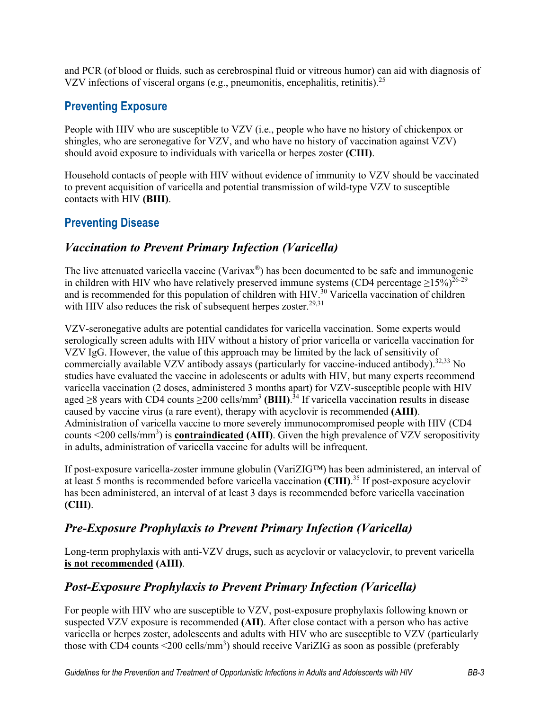and PCR (of blood or fluids, such as cerebrospinal fluid or vitreous humor) can aid with diagnosis of VZV infections of visceral organs (e.g., pneumonitis, encephalitis, retinitis).<sup>25</sup>

# **Preventing Exposure**

People with HIV who are susceptible to VZV (i.e., people who have no history of chickenpox or shingles, who are seronegative for VZV, and who have no history of vaccination against VZV) should avoid exposure to individuals with varicella or herpes zoster **(CIII)**.

Household contacts of people with HIV without evidence of immunity to VZV should be vaccinated to prevent acquisition of varicella and potential transmission of wild-type VZV to susceptible contacts with HIV **(BIII)**.

### **Preventing Disease**

### *Vaccination to Prevent Primary Infection (Varicella)*

The live attenuated varicella vaccine (Varivax<sup>®</sup>) has been documented to be safe and immunogenic in children with HIV who have relatively preserved immune systems (CD4 percentage  $\geq 15\%$ )<sup>26-29</sup> and is recommended for this population of children with HIV.<sup>30</sup> Varicella vaccination of children with HIV also reduces the risk of subsequent herpes zoster.<sup>29,31</sup>

VZV-seronegative adults are potential candidates for varicella vaccination. Some experts would serologically screen adults with HIV without a history of prior varicella or varicella vaccination for VZV IgG. However, the value of this approach may be limited by the lack of sensitivity of commercially available VZV antibody assays (particularly for vaccine-induced antibody).<sup>32,33</sup> No studies have evaluated the vaccine in adolescents or adults with HIV, but many experts recommend varicella vaccination (2 doses, administered 3 months apart) for VZV-susceptible people with HIV aged ≥8 years with CD4 counts ≥200 cells/mm<sup>3</sup> (BIII).<sup>34</sup> If varicella vaccination results in disease caused by vaccine virus (a rare event), therapy with acyclovir is recommended **(AIII)**. Administration of varicella vaccine to more severely immunocompromised people with HIV (CD4 counts <200 cells/mm<sup>3</sup>) is **contraindicated** (AIII). Given the high prevalence of VZV seropositivity in adults, administration of varicella vaccine for adults will be infrequent.

If post-exposure varicella-zoster immune globulin (VariZIG™) has been administered, an interval of at least 5 months is recommended before varicella vaccination **(CIII)**. <sup>35</sup> If post-exposure acyclovir has been administered, an interval of at least 3 days is recommended before varicella vaccination **(CIII)**.

# *Pre-Exposure Prophylaxis to Prevent Primary Infection (Varicella)*

Long-term prophylaxis with anti-VZV drugs, such as acyclovir or valacyclovir, to prevent varicella **is not recommended (AIII)**.

# *Post-Exposure Prophylaxis to Prevent Primary Infection (Varicella)*

For people with HIV who are susceptible to VZV, post-exposure prophylaxis following known or suspected VZV exposure is recommended **(AII)**. After close contact with a person who has active varicella or herpes zoster, adolescents and adults with HIV who are susceptible to VZV (particularly those with CD4 counts  $\leq$ 200 cells/mm<sup>3</sup>) should receive VariZIG as soon as possible (preferably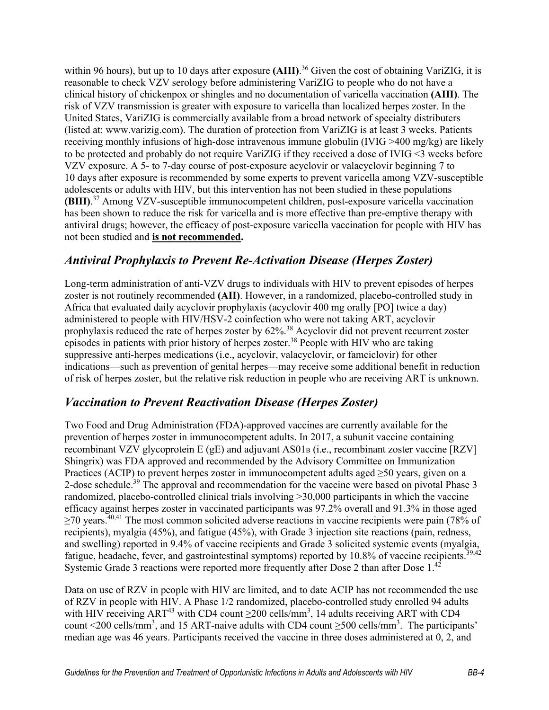within 96 hours), but up to 10 days after exposure **(AIII)**. <sup>36</sup> Given the cost of obtaining VariZIG, it is reasonable to check VZV serology before administering VariZIG to people who do not have a clinical history of chickenpox or shingles and no documentation of varicella vaccination **(AIII)**. The risk of VZV transmission is greater with exposure to varicella than localized herpes zoster. In the United States, VariZIG is commercially available from a broad network of specialty distributers (listed at: www.varizig.com). The duration of protection from VariZIG is at least 3 weeks. Patients receiving monthly infusions of high-dose intravenous immune globulin (IVIG >400 mg/kg) are likely to be protected and probably do not require VariZIG if they received a dose of IVIG <3 weeks before VZV exposure. A 5- to 7-day course of post-exposure acyclovir or valacyclovir beginning 7 to 10 days after exposure is recommended by some experts to prevent varicella among VZV-susceptible adolescents or adults with HIV, but this intervention has not been studied in these populations **(BIII)**. <sup>37</sup> Among VZV-susceptible immunocompetent children, post-exposure varicella vaccination has been shown to reduce the risk for varicella and is more effective than pre-emptive therapy with antiviral drugs; however, the efficacy of post-exposure varicella vaccination for people with HIV has not been studied and **is not recommended.**

# *Antiviral Prophylaxis to Prevent Re-Activation Disease (Herpes Zoster)*

Long-term administration of anti-VZV drugs to individuals with HIV to prevent episodes of herpes zoster is not routinely recommended **(AII)**. However, in a randomized, placebo-controlled study in Africa that evaluated daily acyclovir prophylaxis (acyclovir 400 mg orally [PO] twice a day) administered to people with HIV/HSV-2 coinfection who were not taking ART, acyclovir prophylaxis reduced the rate of herpes zoster by 62%.<sup>38</sup> Acyclovir did not prevent recurrent zoster episodes in patients with prior history of herpes zoster.<sup>38</sup> People with HIV who are taking suppressive anti-herpes medications (i.e., acyclovir, valacyclovir, or famciclovir) for other indications—such as prevention of genital herpes—may receive some additional benefit in reduction of risk of herpes zoster, but the relative risk reduction in people who are receiving ART is unknown.

### *Vaccination to Prevent Reactivation Disease (Herpes Zoster)*

Two Food and Drug Administration (FDA)-approved vaccines are currently available for the prevention of herpes zoster in immunocompetent adults. In 2017, a subunit vaccine containing recombinant VZV glycoprotein E (gE) and adjuvant AS01<sub>B</sub> (i.e., recombinant zoster vaccine [RZV] Shingrix) was FDA approved and recommended by the Advisory Committee on Immunization Practices (ACIP) to prevent herpes zoster in immunocompetent adults aged  $\geq 50$  years, given on a 2-dose schedule.<sup>39</sup> The approval and recommendation for the vaccine were based on pivotal Phase 3 randomized, placebo-controlled clinical trials involving >30,000 participants in which the vaccine efficacy against herpes zoster in vaccinated participants was 97.2% overall and 91.3% in those aged  $>70$  years.<sup>40,41</sup> The most common solicited adverse reactions in vaccine recipients were pain (78% of recipients), myalgia (45%), and fatigue (45%), with Grade 3 injection site reactions (pain, redness, and swelling) reported in 9.4% of vaccine recipients and Grade 3 solicited systemic events (myalgia, fatigue, headache, fever, and gastrointestinal symptoms) reported by 10.8% of vaccine recipients.<sup>39,42</sup> Systemic Grade 3 reactions were reported more frequently after Dose 2 than after Dose 1.<sup>42</sup>

Data on use of RZV in people with HIV are limited, and to date ACIP has not recommended the use of RZV in people with HIV. A Phase 1/2 randomized, placebo-controlled study enrolled 94 adults with HIV receiving ART<sup>43</sup> with CD4 count  $\geq$ 200 cells/mm<sup>3</sup>, 14 adults receiving ART with CD4 count <200 cells/mm<sup>3</sup>, and 15 ART-naive adults with CD4 count  $\geq$ 500 cells/mm<sup>3</sup>. The participants' median age was 46 years. Participants received the vaccine in three doses administered at 0, 2, and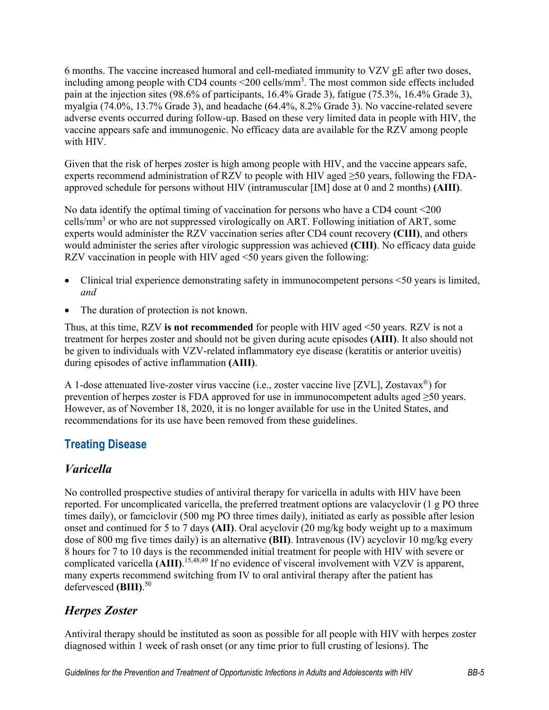6 months. The vaccine increased humoral and cell-mediated immunity to VZV gE after two doses, including among people with CD4 counts  $\leq$ 200 cells/mm<sup>3</sup>. The most common side effects included pain at the injection sites (98.6% of participants, 16.4% Grade 3), fatigue (75.3%, 16.4% Grade 3), myalgia (74.0%, 13.7% Grade 3), and headache (64.4%, 8.2% Grade 3). No vaccine-related severe adverse events occurred during follow-up. Based on these very limited data in people with HIV, the vaccine appears safe and immunogenic. No efficacy data are available for the RZV among people with HIV.

Given that the risk of herpes zoster is high among people with HIV, and the vaccine appears safe, experts recommend administration of RZV to people with HIV aged  $\geq$ 50 years, following the FDAapproved schedule for persons without HIV (intramuscular [IM] dose at 0 and 2 months) **(AIII)**.

No data identify the optimal timing of vaccination for persons who have a CD4 count <200 cells/mm3 or who are not suppressed virologically on ART. Following initiation of ART, some experts would administer the RZV vaccination series after CD4 count recovery **(CIII)**, and others would administer the series after virologic suppression was achieved **(CIII)**. No efficacy data guide RZV vaccination in people with HIV aged <50 years given the following:

- Clinical trial experience demonstrating safety in immunocompetent persons <50 years is limited, *and*
- The duration of protection is not known.

Thus, at this time, RZV **is not recommended** for people with HIV aged <50 years. RZV is not a treatment for herpes zoster and should not be given during acute episodes **(AIII)**. It also should not be given to individuals with VZV-related inflammatory eye disease (keratitis or anterior uveitis) during episodes of active inflammation **(AIII)**.

A 1-dose attenuated live-zoster virus vaccine (i.e., zoster vaccine live [ZVL], Zostavax®) for prevention of herpes zoster is FDA approved for use in immunocompetent adults aged ≥50 years. However, as of November 18, 2020, it is no longer available for use in the United States, and recommendations for its use have been removed from these guidelines.

# **Treating Disease**

### *Varicella*

No controlled prospective studies of antiviral therapy for varicella in adults with HIV have been reported. For uncomplicated varicella, the preferred treatment options are valacyclovir (1 g PO three times daily), or famciclovir (500 mg PO three times daily), initiated as early as possible after lesion onset and continued for 5 to 7 days **(AII)**. Oral acyclovir (20 mg/kg body weight up to a maximum dose of 800 mg five times daily) is an alternative **(BII)**. Intravenous (IV) acyclovir 10 mg/kg every 8 hours for 7 to 10 days is the recommended initial treatment for people with HIV with severe or complicated varicella **(AIII)**. 15,48,49 If no evidence of visceral involvement with VZV is apparent, many experts recommend switching from IV to oral antiviral therapy after the patient has defervesced **(BIII)**. 50

# *Herpes Zoster*

Antiviral therapy should be instituted as soon as possible for all people with HIV with herpes zoster diagnosed within 1 week of rash onset (or any time prior to full crusting of lesions). The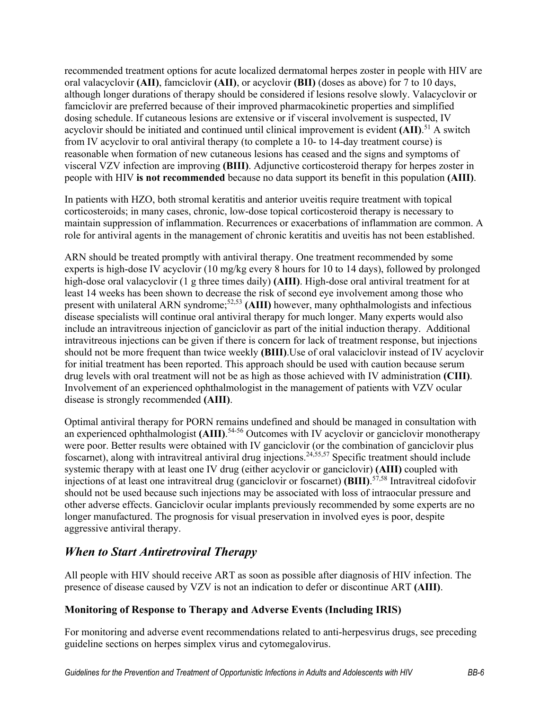recommended treatment options for acute localized dermatomal herpes zoster in people with HIV are oral valacyclovir **(AII)**, famciclovir **(AII)**, or acyclovir **(BII)** (doses as above) for 7 to 10 days, although longer durations of therapy should be considered if lesions resolve slowly. Valacyclovir or famciclovir are preferred because of their improved pharmacokinetic properties and simplified dosing schedule. If cutaneous lesions are extensive or if visceral involvement is suspected, IV acyclovir should be initiated and continued until clinical improvement is evident **(AII)**. <sup>51</sup> A switch from IV acyclovir to oral antiviral therapy (to complete a 10- to 14-day treatment course) is reasonable when formation of new cutaneous lesions has ceased and the signs and symptoms of visceral VZV infection are improving **(BIII)**. Adjunctive corticosteroid therapy for herpes zoster in people with HIV **is not recommended** because no data support its benefit in this population **(AIII)**.

In patients with HZO, both stromal keratitis and anterior uveitis require treatment with topical corticosteroids; in many cases, chronic, low-dose topical corticosteroid therapy is necessary to maintain suppression of inflammation. Recurrences or exacerbations of inflammation are common. A role for antiviral agents in the management of chronic keratitis and uveitis has not been established.

ARN should be treated promptly with antiviral therapy. One treatment recommended by some experts is high-dose IV acyclovir (10 mg/kg every 8 hours for 10 to 14 days), followed by prolonged high-dose oral valacyclovir (1 g three times daily) **(AIII)**. High-dose oral antiviral treatment for at least 14 weeks has been shown to decrease the risk of second eye involvement among those who present with unilateral ARN syndrome;<sup>52,53</sup> (AIII) however, many ophthalmologists and infectious disease specialists will continue oral antiviral therapy for much longer. Many experts would also include an intravitreous injection of ganciclovir as part of the initial induction therapy. Additional intravitreous injections can be given if there is concern for lack of treatment response, but injections should not be more frequent than twice weekly **(BIII)**.Use of oral valaciclovir instead of IV acyclovir for initial treatment has been reported. This approach should be used with caution because serum drug levels with oral treatment will not be as high as those achieved with IV administration **(CIII)**. Involvement of an experienced ophthalmologist in the management of patients with VZV ocular disease is strongly recommended **(AIII)**.

Optimal antiviral therapy for PORN remains undefined and should be managed in consultation with an experienced ophthalmologist **(AIII)**. 54-56 Outcomes with IV acyclovir or ganciclovir monotherapy were poor. Better results were obtained with IV ganciclovir (or the combination of ganciclovir plus foscarnet), along with intravitreal antiviral drug injections.24,55,57 Specific treatment should include systemic therapy with at least one IV drug (either acyclovir or ganciclovir) **(AIII)** coupled with injections of at least one intravitreal drug (ganciclovir or foscarnet) **(BIII)**. 57,58 Intravitreal cidofovir should not be used because such injections may be associated with loss of intraocular pressure and other adverse effects. Ganciclovir ocular implants previously recommended by some experts are no longer manufactured. The prognosis for visual preservation in involved eyes is poor, despite aggressive antiviral therapy.

### *When to Start Antiretroviral Therapy*

All people with HIV should receive ART as soon as possible after diagnosis of HIV infection. The presence of disease caused by VZV is not an indication to defer or discontinue ART **(AIII)**.

### **Monitoring of Response to Therapy and Adverse Events (Including IRIS)**

For monitoring and adverse event recommendations related to anti-herpesvirus drugs, see preceding guideline sections on herpes simplex virus and cytomegalovirus.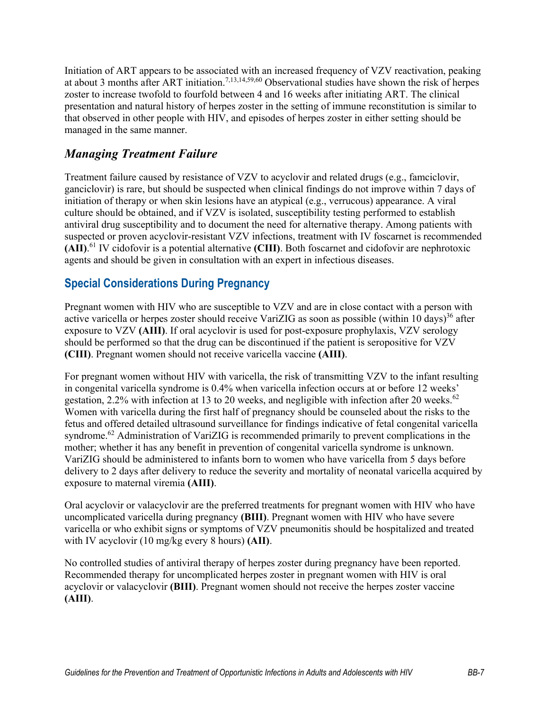Initiation of ART appears to be associated with an increased frequency of VZV reactivation, peaking at about 3 months after ART initiation.<sup>7,13,14,59,60</sup> Observational studies have shown the risk of herpes zoster to increase twofold to fourfold between 4 and 16 weeks after initiating ART. The clinical presentation and natural history of herpes zoster in the setting of immune reconstitution is similar to that observed in other people with HIV, and episodes of herpes zoster in either setting should be managed in the same manner.

# *Managing Treatment Failure*

Treatment failure caused by resistance of VZV to acyclovir and related drugs (e.g., famciclovir, ganciclovir) is rare, but should be suspected when clinical findings do not improve within 7 days of initiation of therapy or when skin lesions have an atypical (e.g., verrucous) appearance. A viral culture should be obtained, and if VZV is isolated, susceptibility testing performed to establish antiviral drug susceptibility and to document the need for alternative therapy. Among patients with suspected or proven acyclovir-resistant VZV infections, treatment with IV foscarnet is recommended **(AII)**. <sup>61</sup> IV cidofovir is a potential alternative **(CIII)**. Both foscarnet and cidofovir are nephrotoxic agents and should be given in consultation with an expert in infectious diseases.

# **Special Considerations During Pregnancy**

Pregnant women with HIV who are susceptible to VZV and are in close contact with a person with active varicella or herpes zoster should receive VariZIG as soon as possible (within 10 days)<sup>36</sup> after exposure to VZV **(AIII)**. If oral acyclovir is used for post-exposure prophylaxis, VZV serology should be performed so that the drug can be discontinued if the patient is seropositive for VZV **(CIII)**. Pregnant women should not receive varicella vaccine **(AIII)**.

For pregnant women without HIV with varicella, the risk of transmitting VZV to the infant resulting in congenital varicella syndrome is 0.4% when varicella infection occurs at or before 12 weeks' gestation, 2.2% with infection at 13 to 20 weeks, and negligible with infection after 20 weeks.<sup>62</sup> Women with varicella during the first half of pregnancy should be counseled about the risks to the fetus and offered detailed ultrasound surveillance for findings indicative of fetal congenital varicella syndrome.<sup>62</sup> Administration of VariZIG is recommended primarily to prevent complications in the mother; whether it has any benefit in prevention of congenital varicella syndrome is unknown. VariZIG should be administered to infants born to women who have varicella from 5 days before delivery to 2 days after delivery to reduce the severity and mortality of neonatal varicella acquired by exposure to maternal viremia **(AIII)**.

Oral acyclovir or valacyclovir are the preferred treatments for pregnant women with HIV who have uncomplicated varicella during pregnancy **(BIII)**. Pregnant women with HIV who have severe varicella or who exhibit signs or symptoms of VZV pneumonitis should be hospitalized and treated with IV acyclovir (10 mg/kg every 8 hours) **(AII)**.

No controlled studies of antiviral therapy of herpes zoster during pregnancy have been reported. Recommended therapy for uncomplicated herpes zoster in pregnant women with HIV is oral acyclovir or valacyclovir **(BIII)**. Pregnant women should not receive the herpes zoster vaccine **(AIII)**.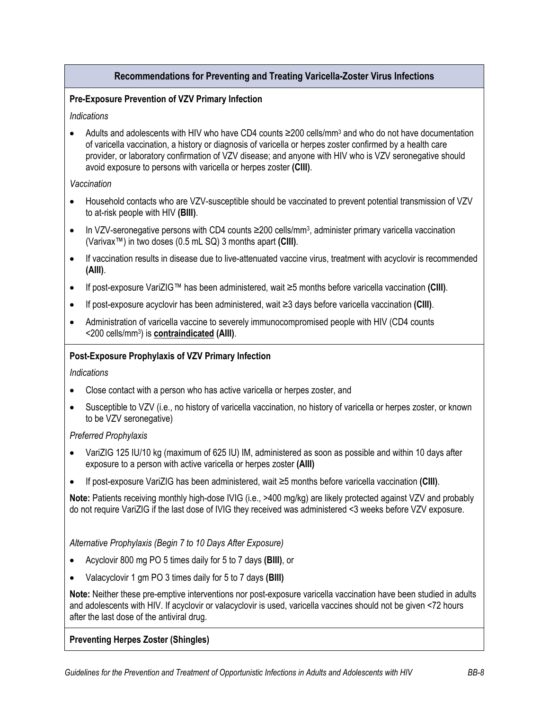### **Recommendations for Preventing and Treating Varicella-Zoster Virus Infections**

#### **Pre-Exposure Prevention of VZV Primary Infection**

#### *Indications*

• Adults and adolescents with HIV who have CD4 counts ≥200 cells/mm<sup>3</sup> and who do not have documentation of varicella vaccination, a history or diagnosis of varicella or herpes zoster confirmed by a health care provider, or laboratory confirmation of VZV disease; and anyone with HIV who is VZV seronegative should avoid exposure to persons with varicella or herpes zoster **(CIII)**.

#### *Vaccination*

- Household contacts who are VZV-susceptible should be vaccinated to prevent potential transmission of VZV to at-risk people with HIV **(BIII)**.
- In VZV-seronegative persons with CD4 counts ≥200 cells/mm3, administer primary varicella vaccination (Varivax™) in two doses (0.5 mL SQ) 3 months apart **(CIII)**.
- If vaccination results in disease due to live-attenuated vaccine virus, treatment with acyclovir is recommended **(AIII)**.
- If post-exposure VariZIG™ has been administered, wait ≥5 months before varicella vaccination **(CIII)**.
- If post-exposure acyclovir has been administered, wait ≥3 days before varicella vaccination **(CIII)**.
- Administration of varicella vaccine to severely immunocompromised people with HIV (CD4 counts <200 cells/mm3) is **contraindicated (AIII)**.

#### **Post-Exposure Prophylaxis of VZV Primary Infection**

#### *Indications*

- Close contact with a person who has active varicella or herpes zoster, and
- Susceptible to VZV (i.e., no history of varicella vaccination, no history of varicella or herpes zoster, or known to be VZV seronegative)

#### *Preferred Prophylaxis*

- VariZIG 125 IU/10 kg (maximum of 625 IU) IM, administered as soon as possible and within 10 days after exposure to a person with active varicella or herpes zoster **(AIII)**
- If post-exposure VariZIG has been administered, wait ≥5 months before varicella vaccination **(CIII)**.

**Note:** Patients receiving monthly high-dose IVIG (i.e., >400 mg/kg) are likely protected against VZV and probably do not require VariZIG if the last dose of IVIG they received was administered <3 weeks before VZV exposure.

#### *Alternative Prophylaxis (Begin 7 to 10 Days After Exposure)*

- Acyclovir 800 mg PO 5 times daily for 5 to 7 days **(BIII)**, or
- Valacyclovir 1 gm PO 3 times daily for 5 to 7 days **(BIII)**

**Note:** Neither these pre-emptive interventions nor post-exposure varicella vaccination have been studied in adults and adolescents with HIV. If acyclovir or valacyclovir is used, varicella vaccines should not be given <72 hours after the last dose of the antiviral drug.

#### **Preventing Herpes Zoster (Shingles)**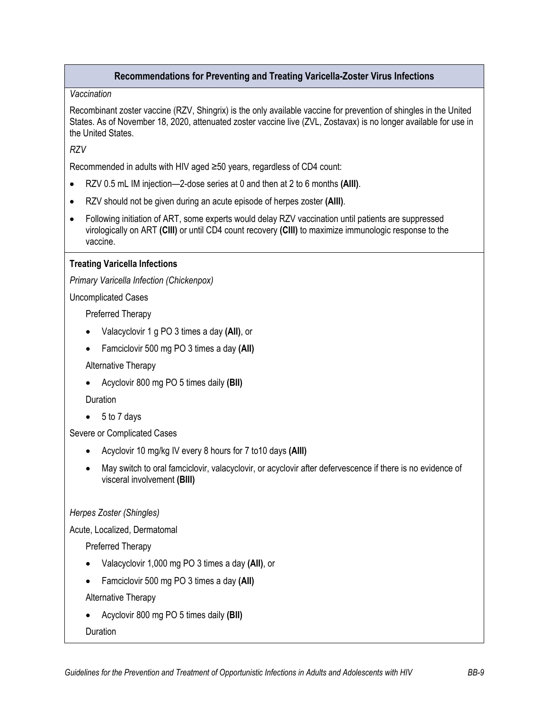#### **Recommendations for Preventing and Treating Varicella-Zoster Virus Infections**

#### *Vaccination*

Recombinant zoster vaccine (RZV, Shingrix) is the only available vaccine for prevention of shingles in the United States. As of November 18, 2020, attenuated zoster vaccine live (ZVL, Zostavax) is no longer available for use in the United States.

#### *RZV*

Recommended in adults with HIV aged ≥50 years, regardless of CD4 count:

- RZV 0.5 mL IM injection—2-dose series at 0 and then at 2 to 6 months **(AIII)**.
- RZV should not be given during an acute episode of herpes zoster **(AIII)**.
- Following initiation of ART, some experts would delay RZV vaccination until patients are suppressed virologically on ART **(CIII)** or until CD4 count recovery **(CIII)** to maximize immunologic response to the vaccine.

#### **Treating Varicella Infections**

*Primary Varicella Infection (Chickenpox)*

#### Uncomplicated Cases

Preferred Therapy

- Valacyclovir 1 g PO 3 times a day **(AII)**, or
- Famciclovir 500 mg PO 3 times a day **(AII)**

Alternative Therapy

• Acyclovir 800 mg PO 5 times daily **(BII)**

**Duration** 

• 5 to 7 days

Severe or Complicated Cases

- Acyclovir 10 mg/kg IV every 8 hours for 7 to10 days **(AIII)**
- May switch to oral famciclovir, valacyclovir, or acyclovir after defervescence if there is no evidence of visceral involvement **(BIII)**

#### *Herpes Zoster (Shingles)*

Acute, Localized, Dermatomal

Preferred Therapy

- Valacyclovir 1,000 mg PO 3 times a day **(AII)**, or
- Famciclovir 500 mg PO 3 times a day **(AII)**

Alternative Therapy

• Acyclovir 800 mg PO 5 times daily **(BII)**

#### Duration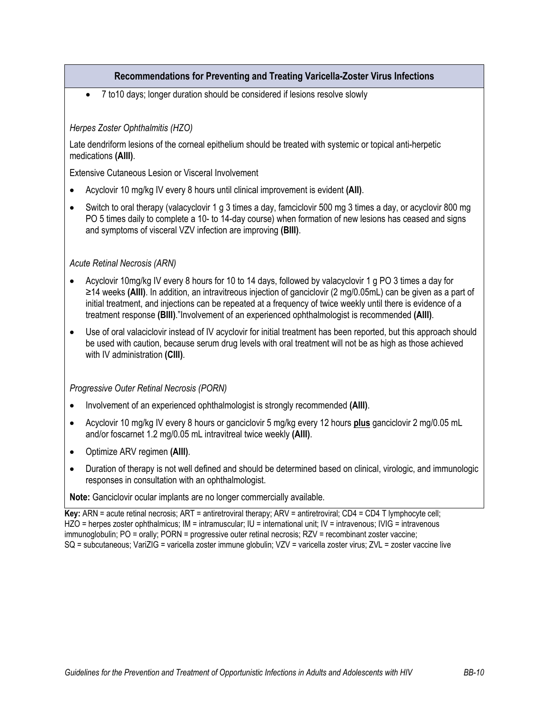#### **Recommendations for Preventing and Treating Varicella-Zoster Virus Infections**

• 7 to10 days; longer duration should be considered if lesions resolve slowly

#### *Herpes Zoster Ophthalmitis (HZO)*

Late dendriform lesions of the corneal epithelium should be treated with systemic or topical anti-herpetic medications **(AIII)**.

Extensive Cutaneous Lesion or Visceral Involvement

- Acyclovir 10 mg/kg IV every 8 hours until clinical improvement is evident **(AII)**.
- Switch to oral therapy (valacyclovir 1 g 3 times a day, famciclovir 500 mg 3 times a day, or acyclovir 800 mg PO 5 times daily to complete a 10- to 14-day course) when formation of new lesions has ceased and signs and symptoms of visceral VZV infection are improving **(BIII)**.

#### *Acute Retinal Necrosis (ARN)*

- Acyclovir 10mg/kg IV every 8 hours for 10 to 14 days, followed by valacyclovir 1 g PO 3 times a day for ≥14 weeks **(AIII)**. In addition, an intravitreous injection of ganciclovir (2 mg/0.05mL) can be given as a part of initial treatment, and injections can be repeated at a frequency of twice weekly until there is evidence of a treatment response **(BIII)**."Involvement of an experienced ophthalmologist is recommended **(AIII)**.
- Use of oral valaciclovir instead of IV acyclovir for initial treatment has been reported, but this approach should be used with caution, because serum drug levels with oral treatment will not be as high as those achieved with IV administration **(CIII)**.

#### *Progressive Outer Retinal Necrosis (PORN)*

- Involvement of an experienced ophthalmologist is strongly recommended **(AIII)**.
- Acyclovir 10 mg/kg IV every 8 hours or ganciclovir 5 mg/kg every 12 hours **plus** ganciclovir 2 mg/0.05 mL and/or foscarnet 1.2 mg/0.05 mL intravitreal twice weekly **(AIII)**.
- Optimize ARV regimen **(AIII)**.
- Duration of therapy is not well defined and should be determined based on clinical, virologic, and immunologic responses in consultation with an ophthalmologist.

**Note:** Ganciclovir ocular implants are no longer commercially available.

**Key:** ARN = acute retinal necrosis; ART = antiretroviral therapy; ARV = antiretroviral; CD4 = CD4 T lymphocyte cell; HZO = herpes zoster ophthalmicus; IM = intramuscular; IU = international unit; IV = intravenous; IVIG = intravenous immunoglobulin; PO = orally; PORN = progressive outer retinal necrosis; RZV = recombinant zoster vaccine; SQ = subcutaneous; VariZIG = varicella zoster immune globulin; VZV = varicella zoster virus; ZVL = zoster vaccine live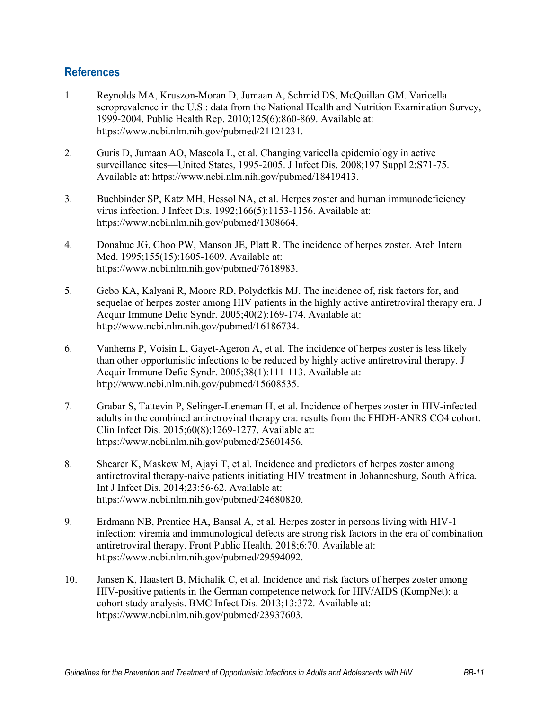### **References**

- 1. Reynolds MA, Kruszon-Moran D, Jumaan A, Schmid DS, McQuillan GM. Varicella seroprevalence in the U.S.: data from the National Health and Nutrition Examination Survey, 1999-2004. Public Health Rep. 2010;125(6):860-869. Available at: https://www.ncbi.nlm.nih.gov/pubmed/21121231.
- 2. Guris D, Jumaan AO, Mascola L, et al. Changing varicella epidemiology in active surveillance sites—United States, 1995-2005. J Infect Dis. 2008;197 Suppl 2:S71-75. Available at: https://www.ncbi.nlm.nih.gov/pubmed/18419413.
- 3. Buchbinder SP, Katz MH, Hessol NA, et al. Herpes zoster and human immunodeficiency virus infection. J Infect Dis. 1992;166(5):1153-1156. Available at: https://www.ncbi.nlm.nih.gov/pubmed/1308664.
- 4. Donahue JG, Choo PW, Manson JE, Platt R. The incidence of herpes zoster. Arch Intern Med. 1995;155(15):1605-1609. Available at: https://www.ncbi.nlm.nih.gov/pubmed/7618983.
- 5. Gebo KA, Kalyani R, Moore RD, Polydefkis MJ. The incidence of, risk factors for, and sequelae of herpes zoster among HIV patients in the highly active antiretroviral therapy era. J Acquir Immune Defic Syndr. 2005;40(2):169-174. Available at: http://www.ncbi.nlm.nih.gov/pubmed/16186734.
- 6. Vanhems P, Voisin L, Gayet-Ageron A, et al. The incidence of herpes zoster is less likely than other opportunistic infections to be reduced by highly active antiretroviral therapy. J Acquir Immune Defic Syndr. 2005;38(1):111-113. Available at: http://www.ncbi.nlm.nih.gov/pubmed/15608535.
- 7. Grabar S, Tattevin P, Selinger-Leneman H, et al. Incidence of herpes zoster in HIV-infected adults in the combined antiretroviral therapy era: results from the FHDH-ANRS CO4 cohort. Clin Infect Dis. 2015;60(8):1269-1277. Available at: https://www.ncbi.nlm.nih.gov/pubmed/25601456.
- 8. Shearer K, Maskew M, Ajayi T, et al. Incidence and predictors of herpes zoster among antiretroviral therapy-naive patients initiating HIV treatment in Johannesburg, South Africa. Int J Infect Dis. 2014;23:56-62. Available at: https://www.ncbi.nlm.nih.gov/pubmed/24680820.
- 9. Erdmann NB, Prentice HA, Bansal A, et al. Herpes zoster in persons living with HIV-1 infection: viremia and immunological defects are strong risk factors in the era of combination antiretroviral therapy. Front Public Health. 2018;6:70. Available at: https://www.ncbi.nlm.nih.gov/pubmed/29594092.
- 10. Jansen K, Haastert B, Michalik C, et al. Incidence and risk factors of herpes zoster among HIV-positive patients in the German competence network for HIV/AIDS (KompNet): a cohort study analysis. BMC Infect Dis. 2013;13:372. Available at: https://www.ncbi.nlm.nih.gov/pubmed/23937603.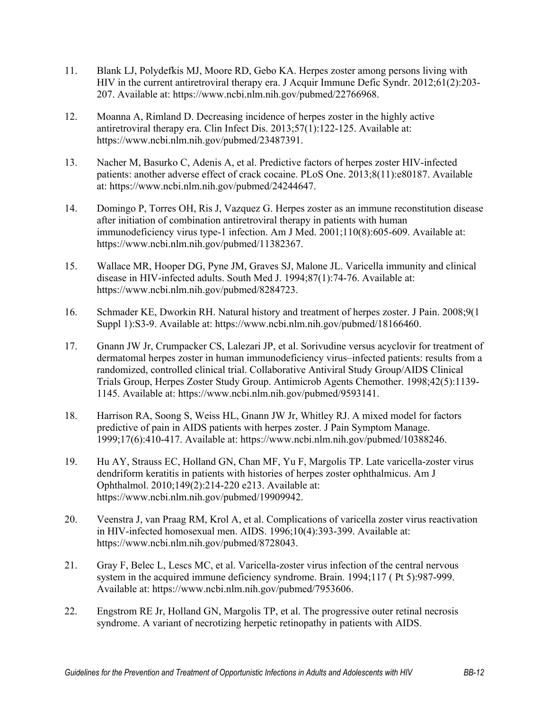- 11. Blank LJ, Polydefkis MJ, Moore RD, Gebo KA. Herpes zoster among persons living with HIV in the current antiretroviral therapy era. J Acquir Immune Defic Syndr. 2012;61(2):203- 207. Available at: https://www.ncbi.nlm.nih.gov/pubmed/22766968.
- 12. Moanna A, Rimland D. Decreasing incidence of herpes zoster in the highly active antiretroviral therapy era. Clin Infect Dis. 2013;57(1):122-125. Available at: https://www.ncbi.nlm.nih.gov/pubmed/23487391.
- 13. Nacher M, Basurko C, Adenis A, et al. Predictive factors of herpes zoster HIV-infected patients: another adverse effect of crack cocaine. PLoS One. 2013;8(11):e80187. Available at: https://www.ncbi.nlm.nih.gov/pubmed/24244647.
- 14. Domingo P, Torres OH, Ris J, Vazquez G. Herpes zoster as an immune reconstitution disease after initiation of combination antiretroviral therapy in patients with human immunodeficiency virus type-1 infection. Am J Med. 2001;110(8):605-609. Available at: https://www.ncbi.nlm.nih.gov/pubmed/11382367.
- 15. Wallace MR, Hooper DG, Pyne JM, Graves SJ, Malone JL. Varicella immunity and clinical disease in HIV-infected adults. South Med J. 1994;87(1):74-76. Available at: https://www.ncbi.nlm.nih.gov/pubmed/8284723.
- 16. Schmader KE, Dworkin RH. Natural history and treatment of herpes zoster. J Pain. 2008;9(1 Suppl 1):S3-9. Available at: https://www.ncbi.nlm.nih.gov/pubmed/18166460.
- 17. Gnann JW Jr, Crumpacker CS, Lalezari JP, et al. Sorivudine versus acyclovir for treatment of dermatomal herpes zoster in human immunodeficiency virus–infected patients: results from a randomized, controlled clinical trial. Collaborative Antiviral Study Group/AIDS Clinical Trials Group, Herpes Zoster Study Group. Antimicrob Agents Chemother. 1998;42(5):1139- 1145. Available at: https://www.ncbi.nlm.nih.gov/pubmed/9593141.
- 18. Harrison RA, Soong S, Weiss HL, Gnann JW Jr, Whitley RJ. A mixed model for factors predictive of pain in AIDS patients with herpes zoster. J Pain Symptom Manage. 1999;17(6):410-417. Available at: https://www.ncbi.nlm.nih.gov/pubmed/10388246.
- 19. Hu AY, Strauss EC, Holland GN, Chan MF, Yu F, Margolis TP. Late varicella-zoster virus dendriform keratitis in patients with histories of herpes zoster ophthalmicus. Am J Ophthalmol. 2010;149(2):214-220 e213. Available at: https://www.ncbi.nlm.nih.gov/pubmed/19909942.
- 20. Veenstra J, van Praag RM, Krol A, et al. Complications of varicella zoster virus reactivation in HIV-infected homosexual men. AIDS. 1996;10(4):393-399. Available at: https://www.ncbi.nlm.nih.gov/pubmed/8728043.
- 21. Gray F, Belec L, Lescs MC, et al. Varicella-zoster virus infection of the central nervous system in the acquired immune deficiency syndrome. Brain. 1994;117 ( Pt 5):987-999. Available at: https://www.ncbi.nlm.nih.gov/pubmed/7953606.
- 22. Engstrom RE Jr, Holland GN, Margolis TP, et al. The progressive outer retinal necrosis syndrome. A variant of necrotizing herpetic retinopathy in patients with AIDS.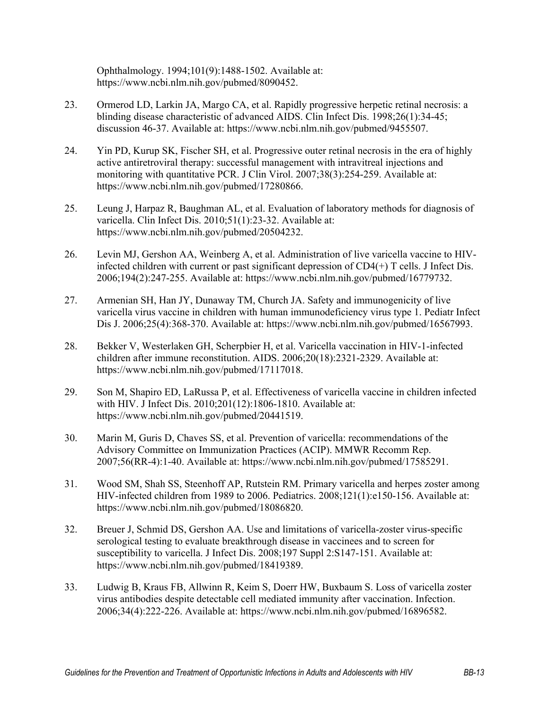Ophthalmology. 1994;101(9):1488-1502. Available at: https://www.ncbi.nlm.nih.gov/pubmed/8090452.

- 23. Ormerod LD, Larkin JA, Margo CA, et al. Rapidly progressive herpetic retinal necrosis: a blinding disease characteristic of advanced AIDS. Clin Infect Dis. 1998;26(1):34-45; discussion 46-37. Available at: https://www.ncbi.nlm.nih.gov/pubmed/9455507.
- 24. Yin PD, Kurup SK, Fischer SH, et al. Progressive outer retinal necrosis in the era of highly active antiretroviral therapy: successful management with intravitreal injections and monitoring with quantitative PCR. J Clin Virol. 2007;38(3):254-259. Available at: https://www.ncbi.nlm.nih.gov/pubmed/17280866.
- 25. Leung J, Harpaz R, Baughman AL, et al. Evaluation of laboratory methods for diagnosis of varicella. Clin Infect Dis. 2010;51(1):23-32. Available at: https://www.ncbi.nlm.nih.gov/pubmed/20504232.
- 26. Levin MJ, Gershon AA, Weinberg A, et al. Administration of live varicella vaccine to HIVinfected children with current or past significant depression of CD4(+) T cells. J Infect Dis. 2006;194(2):247-255. Available at: https://www.ncbi.nlm.nih.gov/pubmed/16779732.
- 27. Armenian SH, Han JY, Dunaway TM, Church JA. Safety and immunogenicity of live varicella virus vaccine in children with human immunodeficiency virus type 1. Pediatr Infect Dis J. 2006;25(4):368-370. Available at: https://www.ncbi.nlm.nih.gov/pubmed/16567993.
- 28. Bekker V, Westerlaken GH, Scherpbier H, et al. Varicella vaccination in HIV-1-infected children after immune reconstitution. AIDS. 2006;20(18):2321-2329. Available at: https://www.ncbi.nlm.nih.gov/pubmed/17117018.
- 29. Son M, Shapiro ED, LaRussa P, et al. Effectiveness of varicella vaccine in children infected with HIV. J Infect Dis. 2010;201(12):1806-1810. Available at: https://www.ncbi.nlm.nih.gov/pubmed/20441519.
- 30. Marin M, Guris D, Chaves SS, et al. Prevention of varicella: recommendations of the Advisory Committee on Immunization Practices (ACIP). MMWR Recomm Rep. 2007;56(RR-4):1-40. Available at: https://www.ncbi.nlm.nih.gov/pubmed/17585291.
- 31. Wood SM, Shah SS, Steenhoff AP, Rutstein RM. Primary varicella and herpes zoster among HIV-infected children from 1989 to 2006. Pediatrics. 2008;121(1):e150-156. Available at: https://www.ncbi.nlm.nih.gov/pubmed/18086820.
- 32. Breuer J, Schmid DS, Gershon AA. Use and limitations of varicella-zoster virus-specific serological testing to evaluate breakthrough disease in vaccinees and to screen for susceptibility to varicella. J Infect Dis. 2008;197 Suppl 2:S147-151. Available at: https://www.ncbi.nlm.nih.gov/pubmed/18419389.
- 33. Ludwig B, Kraus FB, Allwinn R, Keim S, Doerr HW, Buxbaum S. Loss of varicella zoster virus antibodies despite detectable cell mediated immunity after vaccination. Infection. 2006;34(4):222-226. Available at: https://www.ncbi.nlm.nih.gov/pubmed/16896582.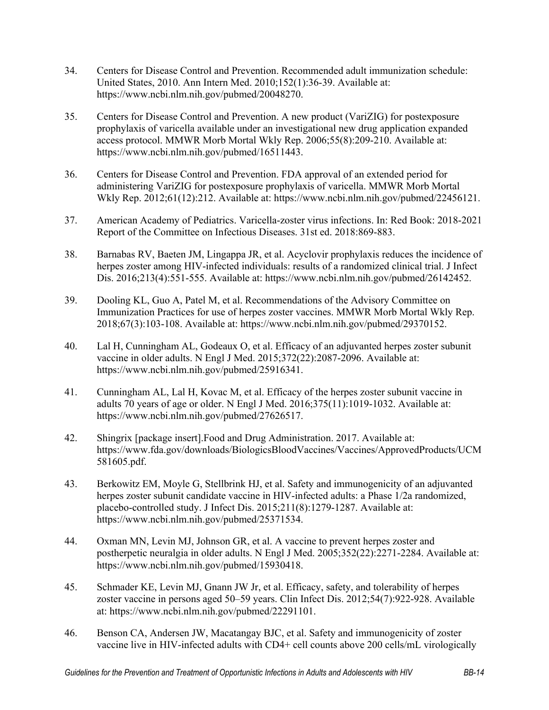- 34. Centers for Disease Control and Prevention. Recommended adult immunization schedule: United States, 2010. Ann Intern Med. 2010;152(1):36-39. Available at: https://www.ncbi.nlm.nih.gov/pubmed/20048270.
- 35. Centers for Disease Control and Prevention. A new product (VariZIG) for postexposure prophylaxis of varicella available under an investigational new drug application expanded access protocol. MMWR Morb Mortal Wkly Rep. 2006;55(8):209-210. Available at: https://www.ncbi.nlm.nih.gov/pubmed/16511443.
- 36. Centers for Disease Control and Prevention. FDA approval of an extended period for administering VariZIG for postexposure prophylaxis of varicella. MMWR Morb Mortal Wkly Rep. 2012;61(12):212. Available at: https://www.ncbi.nlm.nih.gov/pubmed/22456121.
- 37. American Academy of Pediatrics. Varicella-zoster virus infections. In: Red Book: 2018-2021 Report of the Committee on Infectious Diseases. 31st ed. 2018:869-883.
- 38. Barnabas RV, Baeten JM, Lingappa JR, et al. Acyclovir prophylaxis reduces the incidence of herpes zoster among HIV-infected individuals: results of a randomized clinical trial. J Infect Dis. 2016;213(4):551-555. Available at: https://www.ncbi.nlm.nih.gov/pubmed/26142452.
- 39. Dooling KL, Guo A, Patel M, et al. Recommendations of the Advisory Committee on Immunization Practices for use of herpes zoster vaccines. MMWR Morb Mortal Wkly Rep. 2018;67(3):103-108. Available at: https://www.ncbi.nlm.nih.gov/pubmed/29370152.
- 40. Lal H, Cunningham AL, Godeaux O, et al. Efficacy of an adjuvanted herpes zoster subunit vaccine in older adults. N Engl J Med. 2015;372(22):2087-2096. Available at: https://www.ncbi.nlm.nih.gov/pubmed/25916341.
- 41. Cunningham AL, Lal H, Kovac M, et al. Efficacy of the herpes zoster subunit vaccine in adults 70 years of age or older. N Engl J Med. 2016;375(11):1019-1032. Available at: https://www.ncbi.nlm.nih.gov/pubmed/27626517.
- 42. Shingrix [package insert].Food and Drug Administration. 2017. Available at: https://www.fda.gov/downloads/BiologicsBloodVaccines/Vaccines/ApprovedProducts/UCM 581605.pdf.
- 43. Berkowitz EM, Moyle G, Stellbrink HJ, et al. Safety and immunogenicity of an adjuvanted herpes zoster subunit candidate vaccine in HIV-infected adults: a Phase 1/2a randomized, placebo-controlled study. J Infect Dis. 2015;211(8):1279-1287. Available at: https://www.ncbi.nlm.nih.gov/pubmed/25371534.
- 44. Oxman MN, Levin MJ, Johnson GR, et al. A vaccine to prevent herpes zoster and postherpetic neuralgia in older adults. N Engl J Med. 2005;352(22):2271-2284. Available at: https://www.ncbi.nlm.nih.gov/pubmed/15930418.
- 45. Schmader KE, Levin MJ, Gnann JW Jr, et al. Efficacy, safety, and tolerability of herpes zoster vaccine in persons aged 50–59 years. Clin Infect Dis. 2012;54(7):922-928. Available at: https://www.ncbi.nlm.nih.gov/pubmed/22291101.
- 46. Benson CA, Andersen JW, Macatangay BJC, et al. Safety and immunogenicity of zoster vaccine live in HIV-infected adults with CD4+ cell counts above 200 cells/mL virologically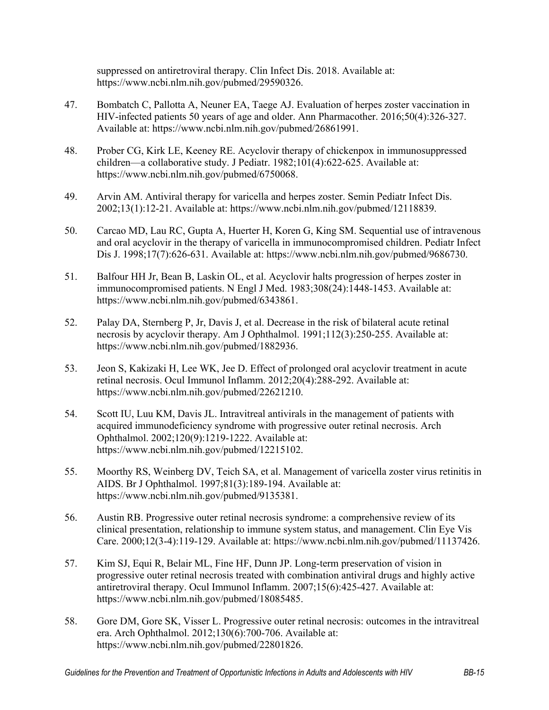suppressed on antiretroviral therapy. Clin Infect Dis. 2018. Available at: https://www.ncbi.nlm.nih.gov/pubmed/29590326.

- 47. Bombatch C, Pallotta A, Neuner EA, Taege AJ. Evaluation of herpes zoster vaccination in HIV-infected patients 50 years of age and older. Ann Pharmacother. 2016;50(4):326-327. Available at: https://www.ncbi.nlm.nih.gov/pubmed/26861991.
- 48. Prober CG, Kirk LE, Keeney RE. Acyclovir therapy of chickenpox in immunosuppressed children—a collaborative study. J Pediatr. 1982;101(4):622-625. Available at: https://www.ncbi.nlm.nih.gov/pubmed/6750068.
- 49. Arvin AM. Antiviral therapy for varicella and herpes zoster. Semin Pediatr Infect Dis. 2002;13(1):12-21. Available at: https://www.ncbi.nlm.nih.gov/pubmed/12118839.
- 50. Carcao MD, Lau RC, Gupta A, Huerter H, Koren G, King SM. Sequential use of intravenous and oral acyclovir in the therapy of varicella in immunocompromised children. Pediatr Infect Dis J. 1998;17(7):626-631. Available at: https://www.ncbi.nlm.nih.gov/pubmed/9686730.
- 51. Balfour HH Jr, Bean B, Laskin OL, et al. Acyclovir halts progression of herpes zoster in immunocompromised patients. N Engl J Med. 1983;308(24):1448-1453. Available at: https://www.ncbi.nlm.nih.gov/pubmed/6343861.
- 52. Palay DA, Sternberg P, Jr, Davis J, et al. Decrease in the risk of bilateral acute retinal necrosis by acyclovir therapy. Am J Ophthalmol. 1991;112(3):250-255. Available at: https://www.ncbi.nlm.nih.gov/pubmed/1882936.
- 53. Jeon S, Kakizaki H, Lee WK, Jee D. Effect of prolonged oral acyclovir treatment in acute retinal necrosis. Ocul Immunol Inflamm. 2012;20(4):288-292. Available at: https://www.ncbi.nlm.nih.gov/pubmed/22621210.
- 54. Scott IU, Luu KM, Davis JL. Intravitreal antivirals in the management of patients with acquired immunodeficiency syndrome with progressive outer retinal necrosis. Arch Ophthalmol. 2002;120(9):1219-1222. Available at: https://www.ncbi.nlm.nih.gov/pubmed/12215102.
- 55. Moorthy RS, Weinberg DV, Teich SA, et al. Management of varicella zoster virus retinitis in AIDS. Br J Ophthalmol. 1997;81(3):189-194. Available at: https://www.ncbi.nlm.nih.gov/pubmed/9135381.
- 56. Austin RB. Progressive outer retinal necrosis syndrome: a comprehensive review of its clinical presentation, relationship to immune system status, and management. Clin Eye Vis Care. 2000;12(3-4):119-129. Available at: https://www.ncbi.nlm.nih.gov/pubmed/11137426.
- 57. Kim SJ, Equi R, Belair ML, Fine HF, Dunn JP. Long-term preservation of vision in progressive outer retinal necrosis treated with combination antiviral drugs and highly active antiretroviral therapy. Ocul Immunol Inflamm. 2007;15(6):425-427. Available at: https://www.ncbi.nlm.nih.gov/pubmed/18085485.
- 58. Gore DM, Gore SK, Visser L. Progressive outer retinal necrosis: outcomes in the intravitreal era. Arch Ophthalmol. 2012;130(6):700-706. Available at: https://www.ncbi.nlm.nih.gov/pubmed/22801826.